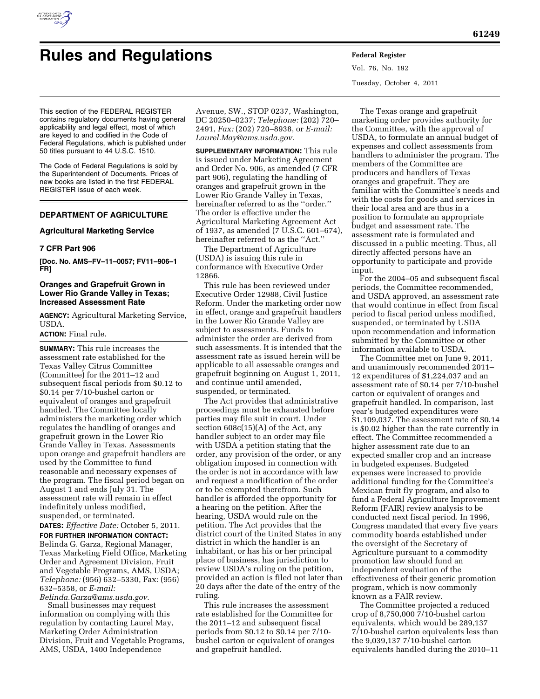

# **Rules and Regulations Federal Register**

Vol. 76, No. 192 Tuesday, October 4, 2011

This section of the FEDERAL REGISTER contains regulatory documents having general applicability and legal effect, most of which are keyed to and codified in the Code of Federal Regulations, which is published under 50 titles pursuant to 44 U.S.C. 1510.

The Code of Federal Regulations is sold by the Superintendent of Documents. Prices of new books are listed in the first FEDERAL REGISTER issue of each week.

# **DEPARTMENT OF AGRICULTURE**

# **Agricultural Marketing Service**

# **7 CFR Part 906**

**[Doc. No. AMS–FV–11–0057; FV11–906–1 FR]** 

# **Oranges and Grapefruit Grown in Lower Rio Grande Valley in Texas; Increased Assessment Rate**

**AGENCY:** Agricultural Marketing Service, USDA.

# **ACTION:** Final rule.

**SUMMARY:** This rule increases the assessment rate established for the Texas Valley Citrus Committee (Committee) for the 2011–12 and subsequent fiscal periods from \$0.12 to \$0.14 per 7/10-bushel carton or equivalent of oranges and grapefruit handled. The Committee locally administers the marketing order which regulates the handling of oranges and grapefruit grown in the Lower Rio Grande Valley in Texas. Assessments upon orange and grapefruit handlers are used by the Committee to fund reasonable and necessary expenses of the program. The fiscal period began on August 1 and ends July 31. The assessment rate will remain in effect indefinitely unless modified, suspended, or terminated.

**DATES:** *Effective Date:* October 5, 2011. **FOR FURTHER INFORMATION CONTACT:**  Belinda G. Garza, Regional Manager, Texas Marketing Field Office, Marketing Order and Agreement Division, Fruit and Vegetable Programs, AMS, USDA; *Telephone:* (956) 632–5330, Fax: (956) 632–5358, or *E-mail: [Belinda.Garza@ams.usda.gov.](mailto:Belinda.Garza@ams.usda.gov)* 

Small businesses may request information on complying with this regulation by contacting Laurel May, Marketing Order Administration Division, Fruit and Vegetable Programs, AMS, USDA, 1400 Independence

Avenue, SW., STOP 0237, Washington, DC 20250–0237; *Telephone:* (202) 720– 2491, *Fax:* (202) 720–8938, or *E-mail: [Laurel.May@ams.usda.gov.](mailto:Laurel.May@ams.usda.gov)* 

**SUPPLEMENTARY INFORMATION:** This rule is issued under Marketing Agreement and Order No. 906, as amended (7 CFR part 906), regulating the handling of oranges and grapefruit grown in the Lower Rio Grande Valley in Texas, hereinafter referred to as the ''order.'' The order is effective under the Agricultural Marketing Agreement Act of 1937, as amended (7 U.S.C. 601–674), hereinafter referred to as the ''Act.''

The Department of Agriculture (USDA) is issuing this rule in conformance with Executive Order 12866.

This rule has been reviewed under Executive Order 12988, Civil Justice Reform. Under the marketing order now in effect, orange and grapefruit handlers in the Lower Rio Grande Valley are subject to assessments. Funds to administer the order are derived from such assessments. It is intended that the assessment rate as issued herein will be applicable to all assessable oranges and grapefruit beginning on August 1, 2011, and continue until amended, suspended, or terminated.

The Act provides that administrative proceedings must be exhausted before parties may file suit in court. Under section 608c(15)(A) of the Act, any handler subject to an order may file with USDA a petition stating that the order, any provision of the order, or any obligation imposed in connection with the order is not in accordance with law and request a modification of the order or to be exempted therefrom. Such handler is afforded the opportunity for a hearing on the petition. After the hearing, USDA would rule on the petition. The Act provides that the district court of the United States in any district in which the handler is an inhabitant, or has his or her principal place of business, has jurisdiction to review USDA's ruling on the petition, provided an action is filed not later than 20 days after the date of the entry of the ruling.

This rule increases the assessment rate established for the Committee for the 2011–12 and subsequent fiscal periods from \$0.12 to \$0.14 per 7/10 bushel carton or equivalent of oranges and grapefruit handled.

The Texas orange and grapefruit marketing order provides authority for the Committee, with the approval of USDA, to formulate an annual budget of expenses and collect assessments from handlers to administer the program. The members of the Committee are producers and handlers of Texas oranges and grapefruit. They are familiar with the Committee's needs and with the costs for goods and services in their local area and are thus in a position to formulate an appropriate budget and assessment rate. The assessment rate is formulated and discussed in a public meeting. Thus, all directly affected persons have an opportunity to participate and provide input.

For the 2004–05 and subsequent fiscal periods, the Committee recommended, and USDA approved, an assessment rate that would continue in effect from fiscal period to fiscal period unless modified, suspended, or terminated by USDA upon recommendation and information submitted by the Committee or other information available to USDA.

The Committee met on June 9, 2011, and unanimously recommended 2011– 12 expenditures of \$1,224,037 and an assessment rate of \$0.14 per 7/10-bushel carton or equivalent of oranges and grapefruit handled. In comparison, last year's budgeted expenditures were \$1,109,037. The assessment rate of \$0.14 is \$0.02 higher than the rate currently in effect. The Committee recommended a higher assessment rate due to an expected smaller crop and an increase in budgeted expenses. Budgeted expenses were increased to provide additional funding for the Committee's Mexican fruit fly program, and also to fund a Federal Agriculture Improvement Reform (FAIR) review analysis to be conducted next fiscal period. In 1996, Congress mandated that every five years commodity boards established under the oversight of the Secretary of Agriculture pursuant to a commodity promotion law should fund an independent evaluation of the effectiveness of their generic promotion program, which is now commonly known as a FAIR review.

The Committee projected a reduced crop of 8,750,000 7/10-bushel carton equivalents, which would be 289,137 7/10-bushel carton equivalents less than the 9,039,137 7/10-bushel carton equivalents handled during the 2010–11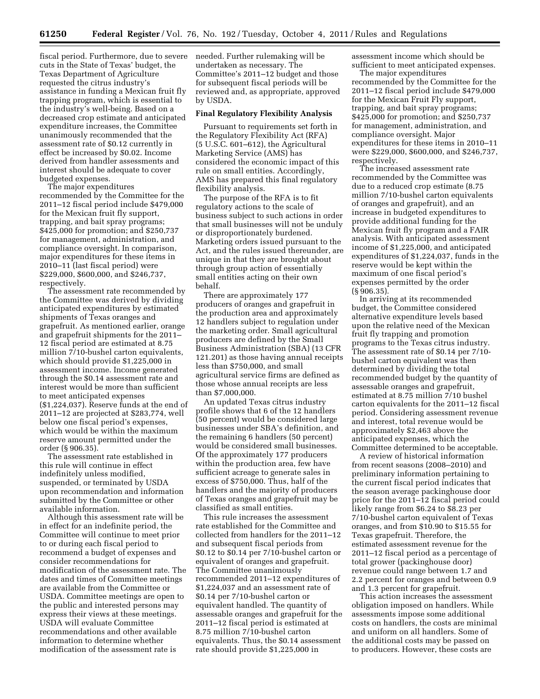fiscal period. Furthermore, due to severe cuts in the State of Texas' budget, the Texas Department of Agriculture requested the citrus industry's assistance in funding a Mexican fruit fly trapping program, which is essential to the industry's well-being. Based on a decreased crop estimate and anticipated expenditure increases, the Committee unanimously recommended that the assessment rate of \$0.12 currently in effect be increased by \$0.02. Income derived from handler assessments and interest should be adequate to cover budgeted expenses.

The major expenditures recommended by the Committee for the 2011–12 fiscal period include \$479,000 for the Mexican fruit fly support, trapping, and bait spray programs; \$425,000 for promotion; and \$250,737 for management, administration, and compliance oversight. In comparison, major expenditures for these items in 2010–11 (last fiscal period) were \$229,000, \$600,000, and \$246,737, respectively.

The assessment rate recommended by the Committee was derived by dividing anticipated expenditures by estimated shipments of Texas oranges and grapefruit. As mentioned earlier, orange and grapefruit shipments for the 2011– 12 fiscal period are estimated at 8.75 million 7/10-bushel carton equivalents, which should provide \$1,225,000 in assessment income. Income generated through the \$0.14 assessment rate and interest would be more than sufficient to meet anticipated expenses (\$1,224,037). Reserve funds at the end of 2011–12 are projected at \$283,774, well below one fiscal period's expenses, which would be within the maximum reserve amount permitted under the order (§ 906.35).

The assessment rate established in this rule will continue in effect indefinitely unless modified, suspended, or terminated by USDA upon recommendation and information submitted by the Committee or other available information.

Although this assessment rate will be in effect for an indefinite period, the Committee will continue to meet prior to or during each fiscal period to recommend a budget of expenses and consider recommendations for modification of the assessment rate. The dates and times of Committee meetings are available from the Committee or USDA. Committee meetings are open to the public and interested persons may express their views at these meetings. USDA will evaluate Committee recommendations and other available information to determine whether modification of the assessment rate is

needed. Further rulemaking will be undertaken as necessary. The Committee's 2011–12 budget and those for subsequent fiscal periods will be reviewed and, as appropriate, approved by USDA.

## **Final Regulatory Flexibility Analysis**

Pursuant to requirements set forth in the Regulatory Flexibility Act (RFA) (5 U.S.C. 601–612), the Agricultural Marketing Service (AMS) has considered the economic impact of this rule on small entities. Accordingly, AMS has prepared this final regulatory flexibility analysis.

The purpose of the RFA is to fit regulatory actions to the scale of business subject to such actions in order that small businesses will not be unduly or disproportionately burdened. Marketing orders issued pursuant to the Act, and the rules issued thereunder, are unique in that they are brought about through group action of essentially small entities acting on their own behalf.

There are approximately 177 producers of oranges and grapefruit in the production area and approximately 12 handlers subject to regulation under the marketing order. Small agricultural producers are defined by the Small Business Administration (SBA) (13 CFR 121.201) as those having annual receipts less than \$750,000, and small agricultural service firms are defined as those whose annual receipts are less than \$7,000,000.

An updated Texas citrus industry profile shows that 6 of the 12 handlers (50 percent) would be considered large businesses under SBA's definition, and the remaining 6 handlers (50 percent) would be considered small businesses. Of the approximately 177 producers within the production area, few have sufficient acreage to generate sales in excess of \$750,000. Thus, half of the handlers and the majority of producers of Texas oranges and grapefruit may be classified as small entities.

This rule increases the assessment rate established for the Committee and collected from handlers for the 2011–12 and subsequent fiscal periods from \$0.12 to \$0.14 per 7/10-bushel carton or equivalent of oranges and grapefruit. The Committee unanimously recommended 2011–12 expenditures of \$1,224,037 and an assessment rate of \$0.14 per 7/10-bushel carton or equivalent handled. The quantity of assessable oranges and grapefruit for the 2011–12 fiscal period is estimated at 8.75 million 7/10-bushel carton equivalents. Thus, the \$0.14 assessment rate should provide \$1,225,000 in

assessment income which should be sufficient to meet anticipated expenses.

The major expenditures recommended by the Committee for the 2011–12 fiscal period include \$479,000 for the Mexican Fruit Fly support, trapping, and bait spray programs; \$425,000 for promotion; and \$250,737 for management, administration, and compliance oversight. Major expenditures for these items in 2010–11 were \$229,000, \$600,000, and \$246,737, respectively.

The increased assessment rate recommended by the Committee was due to a reduced crop estimate (8.75 million 7/10-bushel carton equivalents of oranges and grapefruit), and an increase in budgeted expenditures to provide additional funding for the Mexican fruit fly program and a FAIR analysis. With anticipated assessment income of \$1,225,000, and anticipated expenditures of \$1,224,037, funds in the reserve would be kept within the maximum of one fiscal period's expenses permitted by the order (§ 906.35).

In arriving at its recommended budget, the Committee considered alternative expenditure levels based upon the relative need of the Mexican fruit fly trapping and promotion programs to the Texas citrus industry. The assessment rate of \$0.14 per 7/10 bushel carton equivalent was then determined by dividing the total recommended budget by the quantity of assessable oranges and grapefruit, estimated at 8.75 million 7/10 bushel carton equivalents for the 2011–12 fiscal period. Considering assessment revenue and interest, total revenue would be approximately \$2,463 above the anticipated expenses, which the Committee determined to be acceptable.

A review of historical information from recent seasons (2008–2010) and preliminary information pertaining to the current fiscal period indicates that the season average packinghouse door price for the 2011–12 fiscal period could likely range from \$6.24 to \$8.23 per 7/10-bushel carton equivalent of Texas oranges, and from \$10.90 to \$15.55 for Texas grapefruit. Therefore, the estimated assessment revenue for the 2011–12 fiscal period as a percentage of total grower (packinghouse door) revenue could range between 1.7 and 2.2 percent for oranges and between 0.9 and 1.3 percent for grapefruit.

This action increases the assessment obligation imposed on handlers. While assessments impose some additional costs on handlers, the costs are minimal and uniform on all handlers. Some of the additional costs may be passed on to producers. However, these costs are